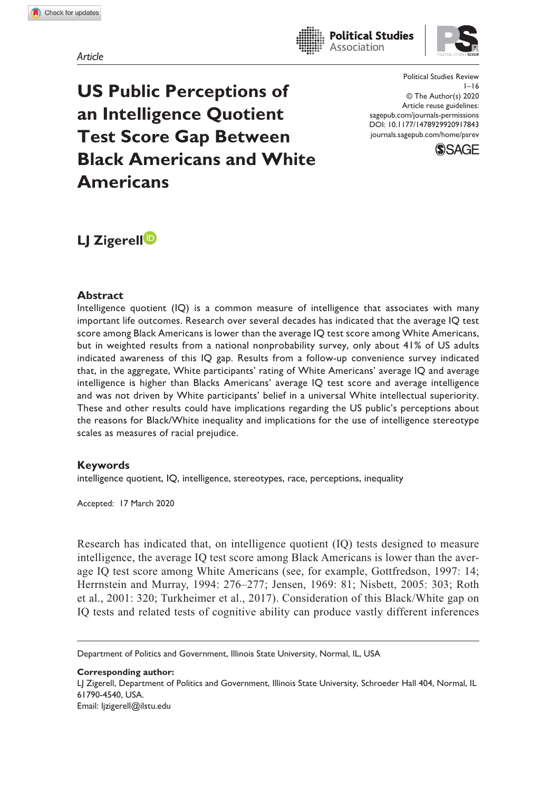*Article*

**US Public Perceptions of an Intelligence Quotient Test Score Gap Between Black Americans and White Americans**

https://doi.org/10.1177/1478929920917843 DOI: 10.1177/1478929920917843 Political Studies Review  $1 - 16$ © The Author(s) 2020 Article reuse guidelines: sagepub.com/journals-permissions journals.sagepub.com/home/psrev

**Political Studies** Association



# **LJ Zigerell**

#### **Abstract**

Intelligence quotient (IQ) is a common measure of intelligence that associates with many important life outcomes. Research over several decades has indicated that the average IQ test score among Black Americans is lower than the average IQ test score among White Americans, but in weighted results from a national nonprobability survey, only about 41% of US adults indicated awareness of this IQ gap. Results from a follow-up convenience survey indicated that, in the aggregate, White participants' rating of White Americans' average IQ and average intelligence is higher than Blacks Americans' average IQ test score and average intelligence and was not driven by White participants' belief in a universal White intellectual superiority. These and other results could have implications regarding the US public's perceptions about the reasons for Black/White inequality and implications for the use of intelligence stereotype scales as measures of racial prejudice.

#### **Keywords**

intelligence quotient, IQ, intelligence, stereotypes, race, perceptions, inequality

Accepted: 17 March 2020

Research has indicated that, on intelligence quotient (IQ) tests designed to measure intelligence, the average IQ test score among Black Americans is lower than the average IQ test score among White Americans (see, for example, Gottfredson, 1997: 14; Herrnstein and Murray, 1994: 276–277; Jensen, 1969: 81; Nisbett, 2005: 303; Roth et al., 2001: 320; Turkheimer et al., 2017). Consideration of this Black/White gap on IQ tests and related tests of cognitive ability can produce vastly different inferences

Department of Politics and Government, Illinois State University, Normal, IL, USA

**Corresponding author:** LJ Zigerell, Department of Politics and Government, Illinois State University, Schroeder Hall 404, Normal, IL 61790-4540, USA. Email: ljzigerell@ilstu.edu

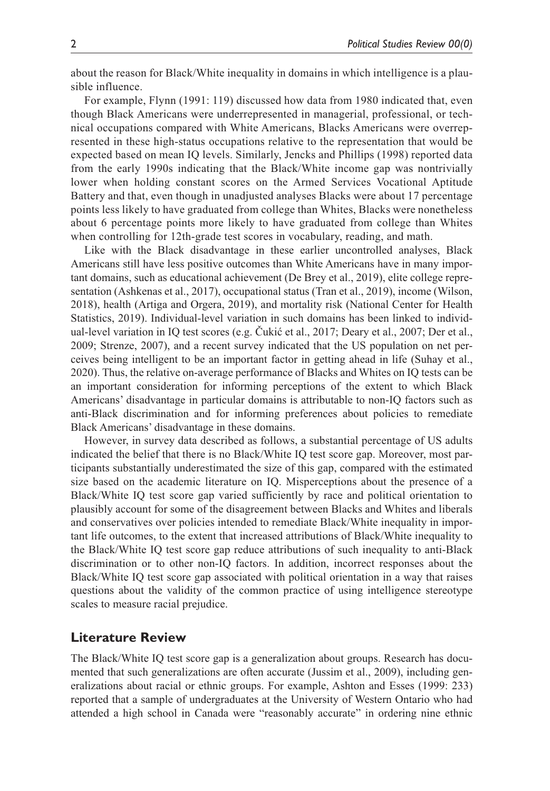about the reason for Black/White inequality in domains in which intelligence is a plausible influence.

For example, Flynn (1991: 119) discussed how data from 1980 indicated that, even though Black Americans were underrepresented in managerial, professional, or technical occupations compared with White Americans, Blacks Americans were overrepresented in these high-status occupations relative to the representation that would be expected based on mean IQ levels. Similarly, Jencks and Phillips (1998) reported data from the early 1990s indicating that the Black/White income gap was nontrivially lower when holding constant scores on the Armed Services Vocational Aptitude Battery and that, even though in unadjusted analyses Blacks were about 17 percentage points less likely to have graduated from college than Whites, Blacks were nonetheless about 6 percentage points more likely to have graduated from college than Whites when controlling for 12th-grade test scores in vocabulary, reading, and math.

Like with the Black disadvantage in these earlier uncontrolled analyses, Black Americans still have less positive outcomes than White Americans have in many important domains, such as educational achievement (De Brey et al., 2019), elite college representation (Ashkenas et al., 2017), occupational status (Tran et al., 2019), income (Wilson, 2018), health (Artiga and Orgera, 2019), and mortality risk (National Center for Health Statistics, 2019). Individual-level variation in such domains has been linked to individual-level variation in IQ test scores (e.g. Čukić et al., 2017; Deary et al., 2007; Der et al., 2009; Strenze, 2007), and a recent survey indicated that the US population on net perceives being intelligent to be an important factor in getting ahead in life (Suhay et al., 2020). Thus, the relative on-average performance of Blacks and Whites on IQ tests can be an important consideration for informing perceptions of the extent to which Black Americans' disadvantage in particular domains is attributable to non-IQ factors such as anti-Black discrimination and for informing preferences about policies to remediate Black Americans' disadvantage in these domains.

However, in survey data described as follows, a substantial percentage of US adults indicated the belief that there is no Black/White IQ test score gap. Moreover, most participants substantially underestimated the size of this gap, compared with the estimated size based on the academic literature on IQ. Misperceptions about the presence of a Black/White IQ test score gap varied sufficiently by race and political orientation to plausibly account for some of the disagreement between Blacks and Whites and liberals and conservatives over policies intended to remediate Black/White inequality in important life outcomes, to the extent that increased attributions of Black/White inequality to the Black/White IQ test score gap reduce attributions of such inequality to anti-Black discrimination or to other non-IQ factors. In addition, incorrect responses about the Black/White IQ test score gap associated with political orientation in a way that raises questions about the validity of the common practice of using intelligence stereotype scales to measure racial prejudice.

### **Literature Review**

The Black/White IQ test score gap is a generalization about groups. Research has documented that such generalizations are often accurate (Jussim et al., 2009), including generalizations about racial or ethnic groups. For example, Ashton and Esses (1999: 233) reported that a sample of undergraduates at the University of Western Ontario who had attended a high school in Canada were "reasonably accurate" in ordering nine ethnic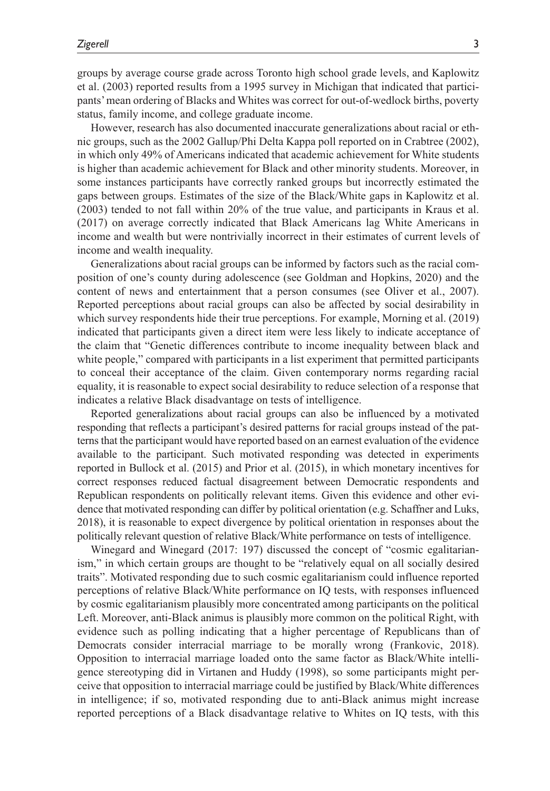groups by average course grade across Toronto high school grade levels, and Kaplowitz et al. (2003) reported results from a 1995 survey in Michigan that indicated that participants' mean ordering of Blacks and Whites was correct for out-of-wedlock births, poverty status, family income, and college graduate income.

However, research has also documented inaccurate generalizations about racial or ethnic groups, such as the 2002 Gallup/Phi Delta Kappa poll reported on in Crabtree (2002), in which only 49% of Americans indicated that academic achievement for White students is higher than academic achievement for Black and other minority students. Moreover, in some instances participants have correctly ranked groups but incorrectly estimated the gaps between groups. Estimates of the size of the Black/White gaps in Kaplowitz et al. (2003) tended to not fall within 20% of the true value, and participants in Kraus et al. (2017) on average correctly indicated that Black Americans lag White Americans in income and wealth but were nontrivially incorrect in their estimates of current levels of income and wealth inequality.

Generalizations about racial groups can be informed by factors such as the racial composition of one's county during adolescence (see Goldman and Hopkins, 2020) and the content of news and entertainment that a person consumes (see Oliver et al., 2007). Reported perceptions about racial groups can also be affected by social desirability in which survey respondents hide their true perceptions. For example, Morning et al. (2019) indicated that participants given a direct item were less likely to indicate acceptance of the claim that "Genetic differences contribute to income inequality between black and white people," compared with participants in a list experiment that permitted participants to conceal their acceptance of the claim. Given contemporary norms regarding racial equality, it is reasonable to expect social desirability to reduce selection of a response that indicates a relative Black disadvantage on tests of intelligence.

Reported generalizations about racial groups can also be influenced by a motivated responding that reflects a participant's desired patterns for racial groups instead of the patterns that the participant would have reported based on an earnest evaluation of the evidence available to the participant. Such motivated responding was detected in experiments reported in Bullock et al. (2015) and Prior et al. (2015), in which monetary incentives for correct responses reduced factual disagreement between Democratic respondents and Republican respondents on politically relevant items. Given this evidence and other evidence that motivated responding can differ by political orientation (e.g. Schaffner and Luks, 2018), it is reasonable to expect divergence by political orientation in responses about the politically relevant question of relative Black/White performance on tests of intelligence.

Winegard and Winegard (2017: 197) discussed the concept of "cosmic egalitarianism," in which certain groups are thought to be "relatively equal on all socially desired traits". Motivated responding due to such cosmic egalitarianism could influence reported perceptions of relative Black/White performance on IQ tests, with responses influenced by cosmic egalitarianism plausibly more concentrated among participants on the political Left. Moreover, anti-Black animus is plausibly more common on the political Right, with evidence such as polling indicating that a higher percentage of Republicans than of Democrats consider interracial marriage to be morally wrong (Frankovic, 2018). Opposition to interracial marriage loaded onto the same factor as Black/White intelligence stereotyping did in Virtanen and Huddy (1998), so some participants might perceive that opposition to interracial marriage could be justified by Black/White differences in intelligence; if so, motivated responding due to anti-Black animus might increase reported perceptions of a Black disadvantage relative to Whites on IQ tests, with this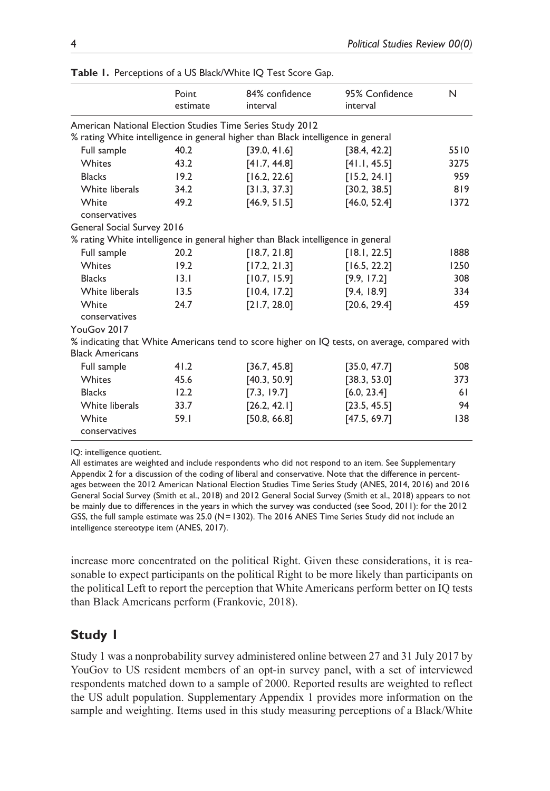|                            | Point<br>estimate | 84% confidence<br>interval                                                       | 95% Confidence<br>interval                                                                    | N    |
|----------------------------|-------------------|----------------------------------------------------------------------------------|-----------------------------------------------------------------------------------------------|------|
|                            |                   | American National Election Studies Time Series Study 2012                        |                                                                                               |      |
|                            |                   | % rating White intelligence in general higher than Black intelligence in general |                                                                                               |      |
| Full sample                | 40.2              | [39.0, 41.6]                                                                     | [38.4, 42.2]                                                                                  | 5510 |
| <b>Whites</b>              | 43.2              | [41.7, 44.8]                                                                     | [41.1, 45.5]                                                                                  | 3275 |
| <b>Blacks</b>              | 19.2              | [16.2, 22.6]                                                                     | [15.2, 24.1]                                                                                  | 959  |
| White liberals             | 34.2              | [31.3, 37.3]                                                                     | [30.2, 38.5]                                                                                  | 819  |
| White                      | 49.2              | [46.9, 51.5]                                                                     | [46.0, 52.4]                                                                                  | 1372 |
| conservatives              |                   |                                                                                  |                                                                                               |      |
| General Social Survey 2016 |                   |                                                                                  |                                                                                               |      |
|                            |                   | % rating White intelligence in general higher than Black intelligence in general |                                                                                               |      |
| Full sample                | 20.2              | [18.7, 21.8]                                                                     | [18.1, 22.5]                                                                                  | 1888 |
| <b>Whites</b>              | 19.2              | [17.2, 21.3]                                                                     | [16.5, 22.2]                                                                                  | 1250 |
| <b>Blacks</b>              | 13.1              | [10.7, 15.9]                                                                     | [9.9, 17.2]                                                                                   | 308  |
| White liberals             | 13.5              | [10.4, 17.2]                                                                     | [9.4, 18.9]                                                                                   | 334  |
| White                      | 24.7              | [21.7, 28.0]                                                                     | [20.6, 29.4]                                                                                  | 459  |
| conservatives              |                   |                                                                                  |                                                                                               |      |
| YouGov 2017                |                   |                                                                                  |                                                                                               |      |
|                            |                   |                                                                                  | % indicating that White Americans tend to score higher on IQ tests, on average, compared with |      |
| <b>Black Americans</b>     |                   |                                                                                  |                                                                                               |      |
| Full sample                | 41.2              | [36.7, 45.8]                                                                     | [35.0, 47.7]                                                                                  | 508  |
| <b>Whites</b>              | 45.6              | [40.3, 50.9]                                                                     | [38.3, 53.0]                                                                                  | 373  |
| <b>Blacks</b>              | 12.2              | [7.3, 19.7]                                                                      | [6.0, 23.4]                                                                                   | 61   |
| White liberals             | 33.7              | [26.2, 42.1]                                                                     | [23.5, 45.5]                                                                                  | 94   |
| White                      | 59.1              | [50.8, 66.8]                                                                     | [47.5, 69.7]                                                                                  | 138  |
| conservatives              |                   |                                                                                  |                                                                                               |      |

**Table 1.** Perceptions of a US Black/White IQ Test Score Gap.

IQ: intelligence quotient.

All estimates are weighted and include respondents who did not respond to an item. See Supplementary Appendix 2 for a discussion of the coding of liberal and conservative. Note that the difference in percentages between the 2012 American National Election Studies Time Series Study (ANES, 2014, 2016) and 2016 General Social Survey (Smith et al., 2018) and 2012 General Social Survey (Smith et al., 2018) appears to not be mainly due to differences in the years in which the survey was conducted (see Sood, 2011): for the 2012 GSS, the full sample estimate was  $25.0$  (N = 1302). The  $2016$  ANES Time Series Study did not include an intelligence stereotype item (ANES, 2017).

increase more concentrated on the political Right. Given these considerations, it is reasonable to expect participants on the political Right to be more likely than participants on the political Left to report the perception that White Americans perform better on IQ tests than Black Americans perform (Frankovic, 2018).

## **Study 1**

Study 1 was a nonprobability survey administered online between 27 and 31 July 2017 by YouGov to US resident members of an opt-in survey panel, with a set of interviewed respondents matched down to a sample of 2000. Reported results are weighted to reflect the US adult population. Supplementary Appendix 1 provides more information on the sample and weighting. Items used in this study measuring perceptions of a Black/White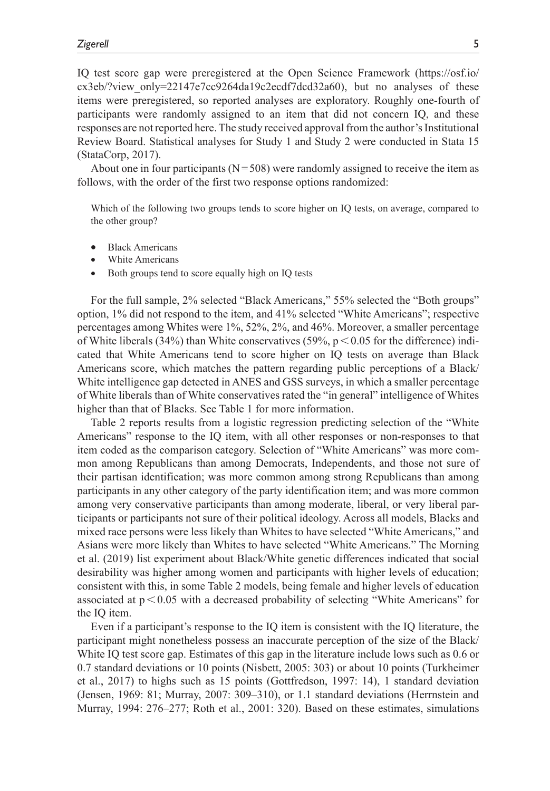IQ test score gap were preregistered at the Open Science Framework (https://osf.io/ cx3eb/?view\_only=22147e7cc9264da19c2ecdf7dcd32a60), but no analyses of these items were preregistered, so reported analyses are exploratory. Roughly one-fourth of participants were randomly assigned to an item that did not concern IQ, and these responses are not reported here. The study received approval from the author's Institutional Review Board. Statistical analyses for Study 1 and Study 2 were conducted in Stata 15 (StataCorp, 2017).

About one in four participants ( $N = 508$ ) were randomly assigned to receive the item as follows, with the order of the first two response options randomized:

Which of the following two groups tends to score higher on IQ tests, on average, compared to the other group?

- **Black Americans**
- White Americans
- Both groups tend to score equally high on IQ tests

For the full sample, 2% selected "Black Americans," 55% selected the "Both groups" option, 1% did not respond to the item, and 41% selected "White Americans"; respective percentages among Whites were 1%, 52%, 2%, and 46%. Moreover, a smaller percentage of White liberals (34%) than White conservatives (59%,  $p < 0.05$  for the difference) indicated that White Americans tend to score higher on IQ tests on average than Black Americans score, which matches the pattern regarding public perceptions of a Black/ White intelligence gap detected in ANES and GSS surveys, in which a smaller percentage of White liberals than of White conservatives rated the "in general" intelligence of Whites higher than that of Blacks. See Table 1 for more information.

Table 2 reports results from a logistic regression predicting selection of the "White Americans" response to the IQ item, with all other responses or non-responses to that item coded as the comparison category. Selection of "White Americans" was more common among Republicans than among Democrats, Independents, and those not sure of their partisan identification; was more common among strong Republicans than among participants in any other category of the party identification item; and was more common among very conservative participants than among moderate, liberal, or very liberal participants or participants not sure of their political ideology. Across all models, Blacks and mixed race persons were less likely than Whites to have selected "White Americans," and Asians were more likely than Whites to have selected "White Americans." The Morning et al. (2019) list experiment about Black/White genetic differences indicated that social desirability was higher among women and participants with higher levels of education; consistent with this, in some Table 2 models, being female and higher levels of education associated at  $p < 0.05$  with a decreased probability of selecting "White Americans" for the IQ item.

Even if a participant's response to the IQ item is consistent with the IQ literature, the participant might nonetheless possess an inaccurate perception of the size of the Black/ White IQ test score gap. Estimates of this gap in the literature include lows such as 0.6 or 0.7 standard deviations or 10 points (Nisbett, 2005: 303) or about 10 points (Turkheimer et al., 2017) to highs such as 15 points (Gottfredson, 1997: 14), 1 standard deviation (Jensen, 1969: 81; Murray, 2007: 309–310), or 1.1 standard deviations (Herrnstein and Murray, 1994: 276–277; Roth et al., 2001: 320). Based on these estimates, simulations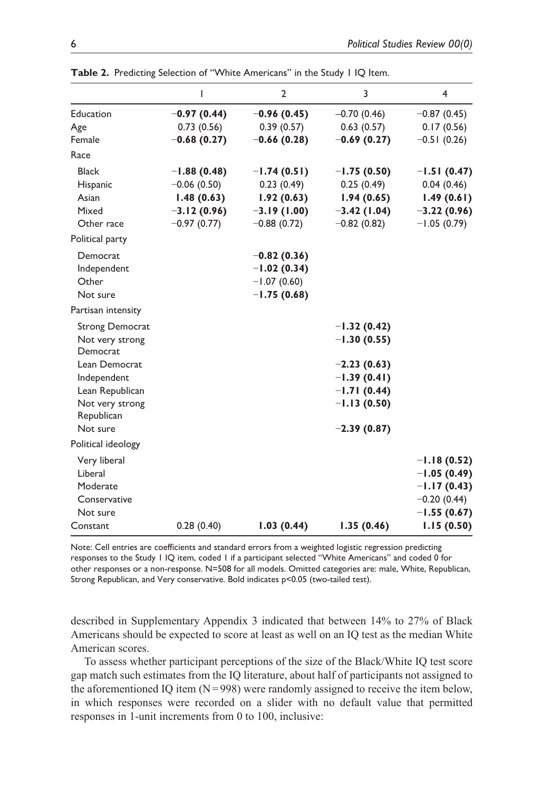| Table 2. Predicting Selection of "White Americans" in the Study I IQ Item. |               |                |               |               |  |  |
|----------------------------------------------------------------------------|---------------|----------------|---------------|---------------|--|--|
|                                                                            | ı             | $\overline{2}$ | 3             | 4             |  |  |
| <b>Education</b>                                                           | $-0.97(0.44)$ | $-0.96(0.45)$  | $-0.70(0.46)$ | $-0.87(0.45)$ |  |  |
| Age                                                                        | 0.73(0.56)    | 0.39(0.57)     | 0.63(0.57)    | 0.17(0.56)    |  |  |
| Female                                                                     | $-0.68(0.27)$ | $-0.66(0.28)$  | $-0.69(0.27)$ | $-0.51(0.26)$ |  |  |
| Race                                                                       |               |                |               |               |  |  |
| <b>Black</b>                                                               | $-1.88(0.48)$ | $-1.74(0.51)$  | $-1.75(0.50)$ | $-1.51(0.47)$ |  |  |
| Hispanic                                                                   | $-0.06(0.50)$ | 0.23(0.49)     | 0.25(0.49)    | 0.04(0.46)    |  |  |
| Asian                                                                      | 1.48(0.63)    | 1.92(0.63)     | 1.94(0.65)    | 1.49(0.61)    |  |  |
| Mixed                                                                      | $-3.12(0.96)$ | $-3.19(1.00)$  | $-3.42(1.04)$ | $-3.22(0.96)$ |  |  |
| Other race                                                                 | $-0.97(0.77)$ | $-0.88(0.72)$  | $-0.82(0.82)$ | $-1.05(0.79)$ |  |  |
| Political party                                                            |               |                |               |               |  |  |
| Democrat                                                                   |               | $-0.82(0.36)$  |               |               |  |  |
| Independent                                                                |               | $-1.02(0.34)$  |               |               |  |  |
| Other                                                                      |               | $-1.07(0.60)$  |               |               |  |  |
| Not sure                                                                   |               | $-1.75(0.68)$  |               |               |  |  |
| Partisan intensity                                                         |               |                |               |               |  |  |

| Mixed                         |               | $-3.12(0.96)$ $-3.19(1.00)$ $-3.42(1.04)$ |               | $-3.22(0.96)$ |
|-------------------------------|---------------|-------------------------------------------|---------------|---------------|
| Other race                    | $-0.97(0.77)$ | $-0.88(0.72)$                             | $-0.82(0.82)$ | $-1.05(0.79)$ |
| Political party               |               |                                           |               |               |
| Democrat                      |               | $-0.82(0.36)$                             |               |               |
| Independent                   |               | $-1.02(0.34)$                             |               |               |
| Other                         |               | $-1.07(0.60)$                             |               |               |
| Not sure                      |               | $-1.75(0.68)$                             |               |               |
| Partisan intensity            |               |                                           |               |               |
| <b>Strong Democrat</b>        |               |                                           | $-1.32(0.42)$ |               |
| Not very strong<br>Democrat   |               |                                           | $-1.30(0.55)$ |               |
| Lean Democrat                 |               |                                           | $-2.23(0.63)$ |               |
| Independent                   |               |                                           | $-1.39(0.41)$ |               |
| Lean Republican               |               |                                           | $-1.71(0.44)$ |               |
| Not very strong<br>Republican |               |                                           | $-1.13(0.50)$ |               |
| Not sure                      |               |                                           | $-2.39(0.87)$ |               |
| Political ideology            |               |                                           |               |               |
| Very liberal                  |               |                                           |               | $-1.18(0.52)$ |
| Liberal                       |               |                                           |               | $-1.05(0.49)$ |
| Moderate                      |               |                                           |               | $-1.17(0.43)$ |
| Conservative                  |               |                                           |               | $-0.20(0.44)$ |
| Not sure                      |               |                                           |               | $-1.55(0.67)$ |
| Constant                      | 0.28(0.40)    | 1.03(0.44)                                | 1.35(0.46)    | 1.15(0.50)    |

Note: Cell entries are coefficients and standard errors from a weighted logistic regression predicting responses to the Study 1 IQ item, coded 1 if a participant selected "White Americans" and coded 0 for other responses or a non-response. N=508 for all models. Omitted categories are: male, White, Republican, Strong Republican, and Very conservative. Bold indicates p<0.05 (two-tailed test).

described in Supplementary Appendix 3 indicated that between 14% to 27% of Black Americans should be expected to score at least as well on an IQ test as the median White American scores.

To assess whether participant perceptions of the size of the Black/White IQ test score gap match such estimates from the IQ literature, about half of participants not assigned to the aforementioned IQ item  $(N=998)$  were randomly assigned to receive the item below, in which responses were recorded on a slider with no default value that permitted responses in 1-unit increments from 0 to 100, inclusive: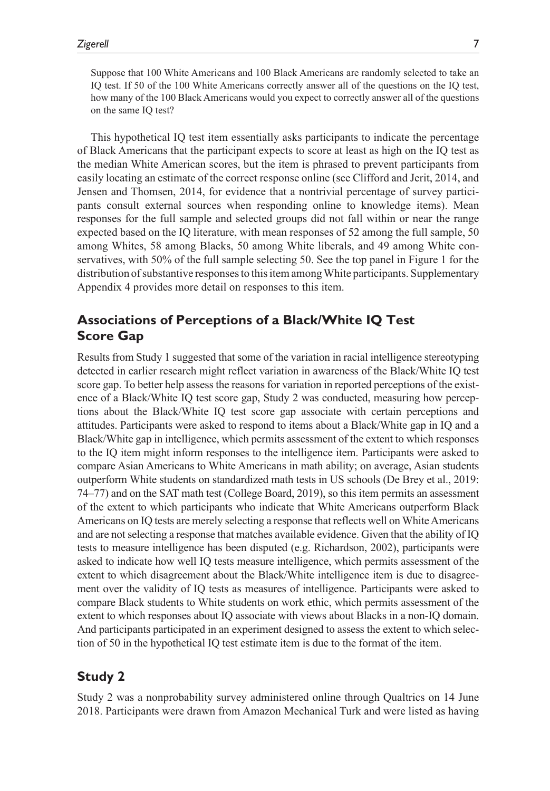Suppose that 100 White Americans and 100 Black Americans are randomly selected to take an IQ test. If 50 of the 100 White Americans correctly answer all of the questions on the IQ test, how many of the 100 Black Americans would you expect to correctly answer all of the questions on the same IQ test?

This hypothetical IQ test item essentially asks participants to indicate the percentage of Black Americans that the participant expects to score at least as high on the IQ test as the median White American scores, but the item is phrased to prevent participants from easily locating an estimate of the correct response online (see Clifford and Jerit, 2014, and Jensen and Thomsen, 2014, for evidence that a nontrivial percentage of survey participants consult external sources when responding online to knowledge items). Mean responses for the full sample and selected groups did not fall within or near the range expected based on the IQ literature, with mean responses of 52 among the full sample, 50 among Whites, 58 among Blacks, 50 among White liberals, and 49 among White conservatives, with 50% of the full sample selecting 50. See the top panel in Figure 1 for the distribution of substantive responses to this item among White participants. Supplementary Appendix 4 provides more detail on responses to this item.

## **Associations of Perceptions of a Black/White IQ Test Score Gap**

Results from Study 1 suggested that some of the variation in racial intelligence stereotyping detected in earlier research might reflect variation in awareness of the Black/White IQ test score gap. To better help assess the reasons for variation in reported perceptions of the existence of a Black/White IQ test score gap, Study 2 was conducted, measuring how perceptions about the Black/White IQ test score gap associate with certain perceptions and attitudes. Participants were asked to respond to items about a Black/White gap in IQ and a Black/White gap in intelligence, which permits assessment of the extent to which responses to the IQ item might inform responses to the intelligence item. Participants were asked to compare Asian Americans to White Americans in math ability; on average, Asian students outperform White students on standardized math tests in US schools (De Brey et al., 2019: 74–77) and on the SAT math test (College Board, 2019), so this item permits an assessment of the extent to which participants who indicate that White Americans outperform Black Americans on IQ tests are merely selecting a response that reflects well on White Americans and are not selecting a response that matches available evidence. Given that the ability of IQ tests to measure intelligence has been disputed (e.g. Richardson, 2002), participants were asked to indicate how well IQ tests measure intelligence, which permits assessment of the extent to which disagreement about the Black/White intelligence item is due to disagreement over the validity of IQ tests as measures of intelligence. Participants were asked to compare Black students to White students on work ethic, which permits assessment of the extent to which responses about IQ associate with views about Blacks in a non-IQ domain. And participants participated in an experiment designed to assess the extent to which selection of 50 in the hypothetical IQ test estimate item is due to the format of the item.

# **Study 2**

Study 2 was a nonprobability survey administered online through Qualtrics on 14 June 2018. Participants were drawn from Amazon Mechanical Turk and were listed as having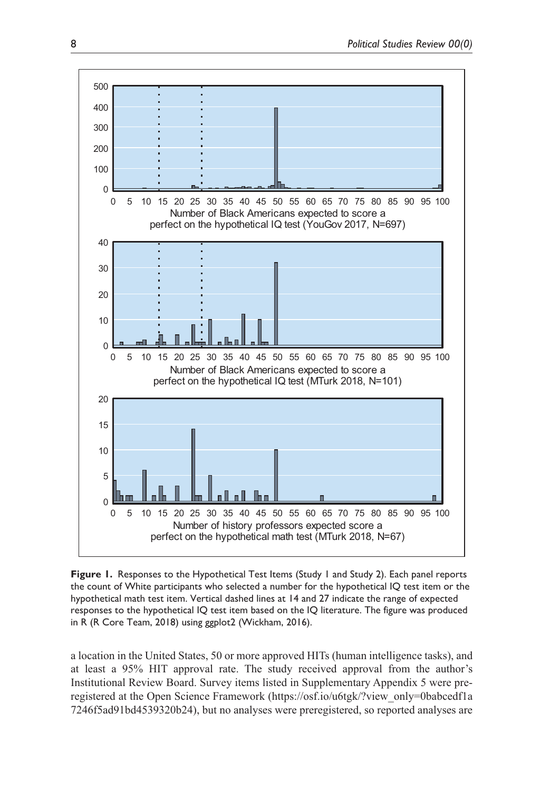

**Figure 1.** Responses to the Hypothetical Test Items (Study 1 and Study 2). Each panel reports the count of White participants who selected a number for the hypothetical IQ test item or the hypothetical math test item. Vertical dashed lines at 14 and 27 indicate the range of expected responses to the hypothetical IQ test item based on the IQ literature. The figure was produced in R (R Core Team, 2018) using ggplot2 (Wickham, 2016).

a location in the United States, 50 or more approved HITs (human intelligence tasks), and at least a 95% HIT approval rate. The study received approval from the author's Institutional Review Board. Survey items listed in Supplementary Appendix 5 were preregistered at the Open Science Framework (https://osf.io/u6tgk/?view\_only=0babcedf1a 7246f5ad91bd4539320b24), but no analyses were preregistered, so reported analyses are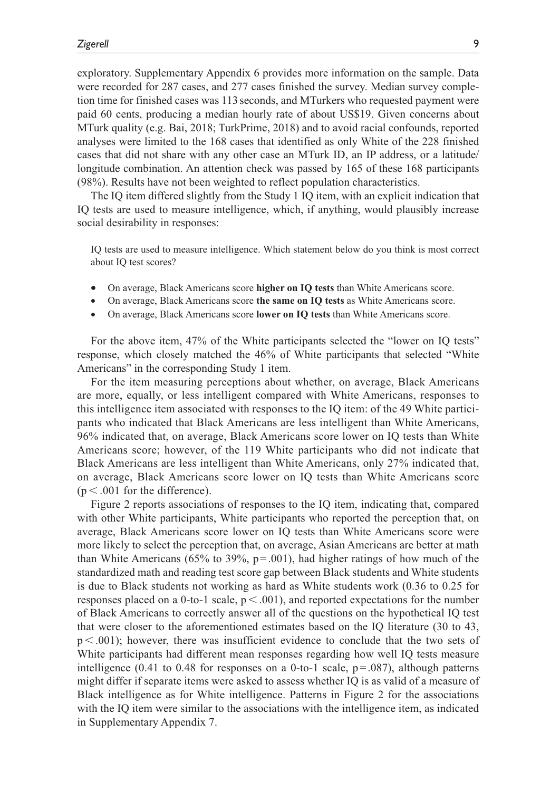exploratory. Supplementary Appendix 6 provides more information on the sample. Data were recorded for 287 cases, and 277 cases finished the survey. Median survey completion time for finished cases was 113 seconds, and MTurkers who requested payment were paid 60 cents, producing a median hourly rate of about US\$19. Given concerns about MTurk quality (e.g. Bai, 2018; TurkPrime, 2018) and to avoid racial confounds, reported analyses were limited to the 168 cases that identified as only White of the 228 finished cases that did not share with any other case an MTurk ID, an IP address, or a latitude/ longitude combination. An attention check was passed by 165 of these 168 participants (98%). Results have not been weighted to reflect population characteristics.

The IQ item differed slightly from the Study 1 IQ item, with an explicit indication that IQ tests are used to measure intelligence, which, if anything, would plausibly increase social desirability in responses:

IQ tests are used to measure intelligence. Which statement below do you think is most correct about IQ test scores?

- •• On average, Black Americans score **higher on IQ tests** than White Americans score.
- •• On average, Black Americans score **the same on IQ tests** as White Americans score.
- •• On average, Black Americans score **lower on IQ tests** than White Americans score.

For the above item, 47% of the White participants selected the "lower on IQ tests" response, which closely matched the 46% of White participants that selected "White Americans" in the corresponding Study 1 item.

For the item measuring perceptions about whether, on average, Black Americans are more, equally, or less intelligent compared with White Americans, responses to this intelligence item associated with responses to the IQ item: of the 49 White participants who indicated that Black Americans are less intelligent than White Americans, 96% indicated that, on average, Black Americans score lower on IQ tests than White Americans score; however, of the 119 White participants who did not indicate that Black Americans are less intelligent than White Americans, only 27% indicated that, on average, Black Americans score lower on IQ tests than White Americans score  $(p < .001$  for the difference).

Figure 2 reports associations of responses to the IQ item, indicating that, compared with other White participants, White participants who reported the perception that, on average, Black Americans score lower on IQ tests than White Americans score were more likely to select the perception that, on average, Asian Americans are better at math than White Americans (65% to 39%,  $p = .001$ ), had higher ratings of how much of the standardized math and reading test score gap between Black students and White students is due to Black students not working as hard as White students work (0.36 to 0.25 for responses placed on a 0-to-1 scale,  $p < .001$ ), and reported expectations for the number of Black Americans to correctly answer all of the questions on the hypothetical IQ test that were closer to the aforementioned estimates based on the IQ literature (30 to 43,  $p < .001$ ); however, there was insufficient evidence to conclude that the two sets of White participants had different mean responses regarding how well IQ tests measure intelligence (0.41 to 0.48 for responses on a 0-to-1 scale,  $p = .087$ ), although patterns might differ if separate items were asked to assess whether IQ is as valid of a measure of Black intelligence as for White intelligence. Patterns in Figure 2 for the associations with the IQ item were similar to the associations with the intelligence item, as indicated in Supplementary Appendix 7.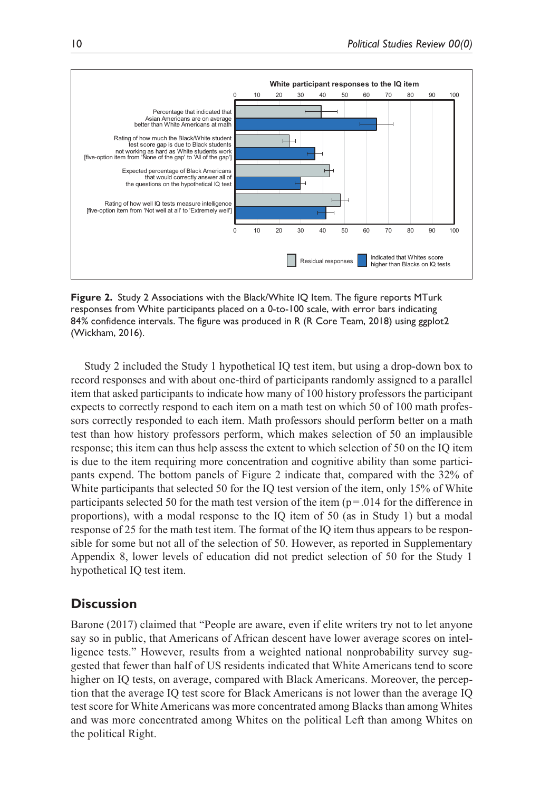

**Figure 2.** Study 2 Associations with the Black/White IQ Item. The figure reports MTurk responses from White participants placed on a 0-to-100 scale, with error bars indicating 84% confidence intervals. The figure was produced in R (R Core Team, 2018) using ggplot2 (Wickham, 2016).

Study 2 included the Study 1 hypothetical IQ test item, but using a drop-down box to record responses and with about one-third of participants randomly assigned to a parallel item that asked participants to indicate how many of 100 history professors the participant expects to correctly respond to each item on a math test on which 50 of 100 math professors correctly responded to each item. Math professors should perform better on a math test than how history professors perform, which makes selection of 50 an implausible response; this item can thus help assess the extent to which selection of 50 on the IQ item is due to the item requiring more concentration and cognitive ability than some participants expend. The bottom panels of Figure 2 indicate that, compared with the 32% of White participants that selected 50 for the IQ test version of the item, only 15% of White participants selected 50 for the math test version of the item ( $p = .014$  for the difference in proportions), with a modal response to the IQ item of 50 (as in Study 1) but a modal response of 25 for the math test item. The format of the IQ item thus appears to be responsible for some but not all of the selection of 50. However, as reported in Supplementary Appendix 8, lower levels of education did not predict selection of 50 for the Study 1 hypothetical IQ test item.

## **Discussion**

Barone (2017) claimed that "People are aware, even if elite writers try not to let anyone say so in public, that Americans of African descent have lower average scores on intelligence tests." However, results from a weighted national nonprobability survey suggested that fewer than half of US residents indicated that White Americans tend to score higher on IQ tests, on average, compared with Black Americans. Moreover, the perception that the average IQ test score for Black Americans is not lower than the average IQ test score for White Americans was more concentrated among Blacks than among Whites and was more concentrated among Whites on the political Left than among Whites on the political Right.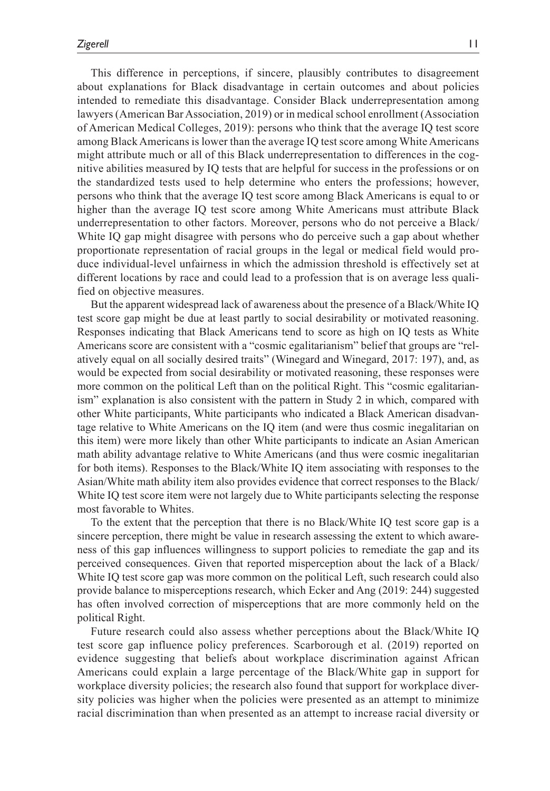This difference in perceptions, if sincere, plausibly contributes to disagreement about explanations for Black disadvantage in certain outcomes and about policies intended to remediate this disadvantage. Consider Black underrepresentation among lawyers (American Bar Association, 2019) or in medical school enrollment (Association of American Medical Colleges, 2019): persons who think that the average IQ test score among Black Americans is lower than the average IQ test score among White Americans might attribute much or all of this Black underrepresentation to differences in the cognitive abilities measured by IQ tests that are helpful for success in the professions or on the standardized tests used to help determine who enters the professions; however, persons who think that the average IQ test score among Black Americans is equal to or higher than the average IQ test score among White Americans must attribute Black underrepresentation to other factors. Moreover, persons who do not perceive a Black/ White IQ gap might disagree with persons who do perceive such a gap about whether proportionate representation of racial groups in the legal or medical field would produce individual-level unfairness in which the admission threshold is effectively set at different locations by race and could lead to a profession that is on average less qualified on objective measures.

But the apparent widespread lack of awareness about the presence of a Black/White IQ test score gap might be due at least partly to social desirability or motivated reasoning. Responses indicating that Black Americans tend to score as high on IQ tests as White Americans score are consistent with a "cosmic egalitarianism" belief that groups are "relatively equal on all socially desired traits" (Winegard and Winegard, 2017: 197), and, as would be expected from social desirability or motivated reasoning, these responses were more common on the political Left than on the political Right. This "cosmic egalitarianism" explanation is also consistent with the pattern in Study 2 in which, compared with other White participants, White participants who indicated a Black American disadvantage relative to White Americans on the IQ item (and were thus cosmic inegalitarian on this item) were more likely than other White participants to indicate an Asian American math ability advantage relative to White Americans (and thus were cosmic inegalitarian for both items). Responses to the Black/White IQ item associating with responses to the Asian/White math ability item also provides evidence that correct responses to the Black/ White IQ test score item were not largely due to White participants selecting the response most favorable to Whites.

To the extent that the perception that there is no Black/White IQ test score gap is a sincere perception, there might be value in research assessing the extent to which awareness of this gap influences willingness to support policies to remediate the gap and its perceived consequences. Given that reported misperception about the lack of a Black/ White IQ test score gap was more common on the political Left, such research could also provide balance to misperceptions research, which Ecker and Ang (2019: 244) suggested has often involved correction of misperceptions that are more commonly held on the political Right.

Future research could also assess whether perceptions about the Black/White IQ test score gap influence policy preferences. Scarborough et al. (2019) reported on evidence suggesting that beliefs about workplace discrimination against African Americans could explain a large percentage of the Black/White gap in support for workplace diversity policies; the research also found that support for workplace diversity policies was higher when the policies were presented as an attempt to minimize racial discrimination than when presented as an attempt to increase racial diversity or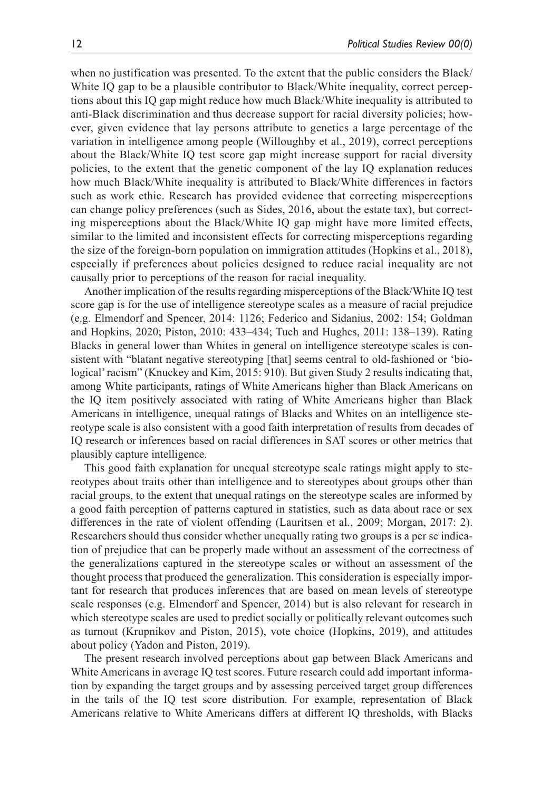when no justification was presented. To the extent that the public considers the Black/ White IQ gap to be a plausible contributor to Black/White inequality, correct perceptions about this IQ gap might reduce how much Black/White inequality is attributed to anti-Black discrimination and thus decrease support for racial diversity policies; however, given evidence that lay persons attribute to genetics a large percentage of the variation in intelligence among people (Willoughby et al., 2019), correct perceptions about the Black/White IQ test score gap might increase support for racial diversity policies, to the extent that the genetic component of the lay IQ explanation reduces how much Black/White inequality is attributed to Black/White differences in factors such as work ethic. Research has provided evidence that correcting misperceptions can change policy preferences (such as Sides, 2016, about the estate tax), but correcting misperceptions about the Black/White IQ gap might have more limited effects, similar to the limited and inconsistent effects for correcting misperceptions regarding the size of the foreign-born population on immigration attitudes (Hopkins et al., 2018), especially if preferences about policies designed to reduce racial inequality are not causally prior to perceptions of the reason for racial inequality.

Another implication of the results regarding misperceptions of the Black/White IQ test score gap is for the use of intelligence stereotype scales as a measure of racial prejudice (e.g. Elmendorf and Spencer, 2014: 1126; Federico and Sidanius, 2002: 154; Goldman and Hopkins, 2020; Piston, 2010: 433–434; Tuch and Hughes, 2011: 138–139). Rating Blacks in general lower than Whites in general on intelligence stereotype scales is consistent with "blatant negative stereotyping [that] seems central to old-fashioned or 'biological' racism" (Knuckey and Kim, 2015: 910). But given Study 2 results indicating that, among White participants, ratings of White Americans higher than Black Americans on the IQ item positively associated with rating of White Americans higher than Black Americans in intelligence, unequal ratings of Blacks and Whites on an intelligence stereotype scale is also consistent with a good faith interpretation of results from decades of IQ research or inferences based on racial differences in SAT scores or other metrics that plausibly capture intelligence.

This good faith explanation for unequal stereotype scale ratings might apply to stereotypes about traits other than intelligence and to stereotypes about groups other than racial groups, to the extent that unequal ratings on the stereotype scales are informed by a good faith perception of patterns captured in statistics, such as data about race or sex differences in the rate of violent offending (Lauritsen et al., 2009; Morgan, 2017: 2). Researchers should thus consider whether unequally rating two groups is a per se indication of prejudice that can be properly made without an assessment of the correctness of the generalizations captured in the stereotype scales or without an assessment of the thought process that produced the generalization. This consideration is especially important for research that produces inferences that are based on mean levels of stereotype scale responses (e.g. Elmendorf and Spencer, 2014) but is also relevant for research in which stereotype scales are used to predict socially or politically relevant outcomes such as turnout (Krupnikov and Piston, 2015), vote choice (Hopkins, 2019), and attitudes about policy (Yadon and Piston, 2019).

The present research involved perceptions about gap between Black Americans and White Americans in average IQ test scores. Future research could add important information by expanding the target groups and by assessing perceived target group differences in the tails of the IQ test score distribution. For example, representation of Black Americans relative to White Americans differs at different IQ thresholds, with Blacks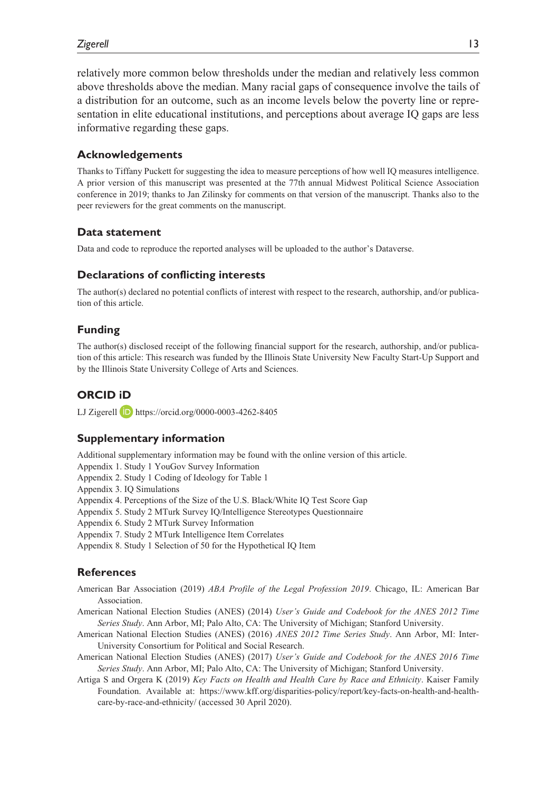relatively more common below thresholds under the median and relatively less common above thresholds above the median. Many racial gaps of consequence involve the tails of a distribution for an outcome, such as an income levels below the poverty line or representation in elite educational institutions, and perceptions about average IQ gaps are less informative regarding these gaps.

#### **Acknowledgements**

Thanks to Tiffany Puckett for suggesting the idea to measure perceptions of how well IQ measures intelligence. A prior version of this manuscript was presented at the 77th annual Midwest Political Science Association conference in 2019; thanks to Jan Zilinsky for comments on that version of the manuscript. Thanks also to the peer reviewers for the great comments on the manuscript.

#### **Data statement**

Data and code to reproduce the reported analyses will be uploaded to the author's Dataverse.

#### **Declarations of conflicting interests**

The author(s) declared no potential conflicts of interest with respect to the research, authorship, and/or publication of this article.

#### **Funding**

The author(s) disclosed receipt of the following financial support for the research, authorship, and/or publication of this article: This research was funded by the Illinois State University New Faculty Start-Up Support and by the Illinois State University College of Arts and Sciences.

### **ORCID iD**

LJ Zigerell **D** https://orcid.org/0000-0003-4262-8405

#### **Supplementary information**

Additional supplementary information may be found with the online version of this article.

- Appendix 1. Study 1 YouGov Survey Information
- Appendix 2. Study 1 Coding of Ideology for Table 1
- Appendix 3. IQ Simulations
- Appendix 4. Perceptions of the Size of the U.S. Black/White IQ Test Score Gap
- Appendix 5. Study 2 MTurk Survey IQ/Intelligence Stereotypes Questionnaire
- Appendix 6. Study 2 MTurk Survey Information
- Appendix 7. Study 2 MTurk Intelligence Item Correlates
- Appendix 8. Study 1 Selection of 50 for the Hypothetical IQ Item

#### **References**

- American Bar Association (2019) *ABA Profile of the Legal Profession 2019*. Chicago, IL: American Bar Association.
- American National Election Studies (ANES) (2014) *User's Guide and Codebook for the ANES 2012 Time Series Study*. Ann Arbor, MI; Palo Alto, CA: The University of Michigan; Stanford University.
- American National Election Studies (ANES) (2016) *ANES 2012 Time Series Study*. Ann Arbor, MI: Inter-University Consortium for Political and Social Research.
- American National Election Studies (ANES) (2017) *User's Guide and Codebook for the ANES 2016 Time Series Study*. Ann Arbor, MI; Palo Alto, CA: The University of Michigan; Stanford University.
- Artiga S and Orgera K (2019) *Key Facts on Health and Health Care by Race and Ethnicity*. Kaiser Family Foundation. Available at: https://www.kff.org/disparities-policy/report/key-facts-on-health-and-healthcare-by-race-and-ethnicity/ (accessed 30 April 2020).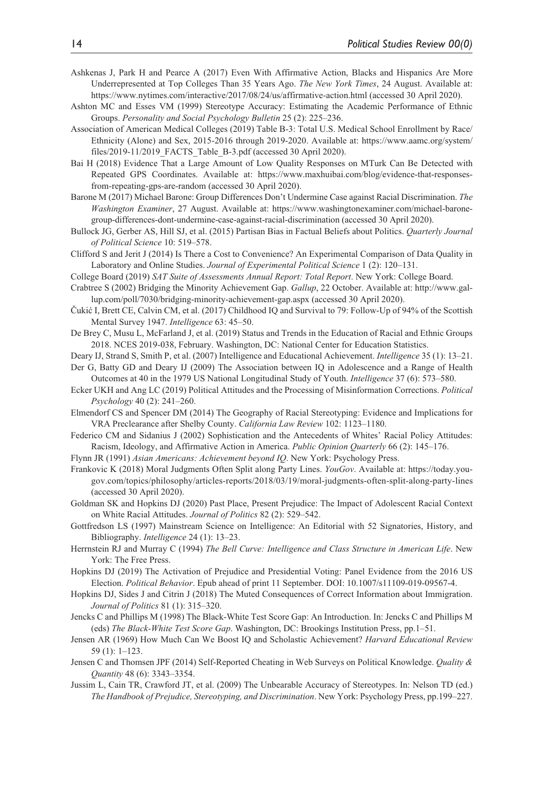- Ashkenas J, Park H and Pearce A (2017) Even With Affirmative Action, Blacks and Hispanics Are More Underrepresented at Top Colleges Than 35 Years Ago. *The New York Times*, 24 August. Available at: https://www.nytimes.com/interactive/2017/08/24/us/affirmative-action.html (accessed 30 April 2020).
- Ashton MC and Esses VM (1999) Stereotype Accuracy: Estimating the Academic Performance of Ethnic Groups. *Personality and Social Psychology Bulletin* 25 (2): 225–236.
- Association of American Medical Colleges (2019) Table B-3: Total U.S. Medical School Enrollment by Race/ Ethnicity (Alone) and Sex, 2015-2016 through 2019-2020. Available at: https://www.aamc.org/system/ files/2019-11/2019\_FACTS\_Table\_B-3.pdf (accessed 30 April 2020).
- Bai H (2018) Evidence That a Large Amount of Low Quality Responses on MTurk Can Be Detected with Repeated GPS Coordinates. Available at: https://www.maxhuibai.com/blog/evidence-that-responsesfrom-repeating-gps-are-random (accessed 30 April 2020).
- Barone M (2017) Michael Barone: Group Differences Don't Undermine Case against Racial Discrimination. *The Washington Examiner*, 27 August. Available at: https://www.washingtonexaminer.com/michael-baronegroup-differences-dont-undermine-case-against-racial-discrimination (accessed 30 April 2020).
- Bullock JG, Gerber AS, Hill SJ, et al. (2015) Partisan Bias in Factual Beliefs about Politics. *Quarterly Journal of Political Science* 10: 519–578.
- Clifford S and Jerit J (2014) Is There a Cost to Convenience? An Experimental Comparison of Data Quality in Laboratory and Online Studies. *Journal of Experimental Political Science* 1 (2): 120–131.
- College Board (2019) *SAT Suite of Assessments Annual Report: Total Report*. New York: College Board.
- Crabtree S (2002) Bridging the Minority Achievement Gap. *Gallup*, 22 October. Available at: http://www.gallup.com/poll/7030/bridging-minority-achievement-gap.aspx (accessed 30 April 2020).
- Čukić I, Brett CE, Calvin CM, et al. (2017) Childhood IQ and Survival to 79: Follow-Up of 94% of the Scottish Mental Survey 1947. *Intelligence* 63: 45–50.
- De Brey C, Musu L, McFarland J, et al. (2019) Status and Trends in the Education of Racial and Ethnic Groups 2018. NCES 2019-038, February. Washington, DC: National Center for Education Statistics.
- Deary IJ, Strand S, Smith P, et al. (2007) Intelligence and Educational Achievement. *Intelligence* 35 (1): 13–21.
- Der G, Batty GD and Deary IJ (2009) The Association between IQ in Adolescence and a Range of Health Outcomes at 40 in the 1979 US National Longitudinal Study of Youth. *Intelligence* 37 (6): 573–580.
- Ecker UKH and Ang LC (2019) Political Attitudes and the Processing of Misinformation Corrections. *Political Psychology* 40 (2): 241–260.
- Elmendorf CS and Spencer DM (2014) The Geography of Racial Stereotyping: Evidence and Implications for VRA Preclearance after Shelby County. *California Law Review* 102: 1123–1180.
- Federico CM and Sidanius J (2002) Sophistication and the Antecedents of Whites' Racial Policy Attitudes: Racism, Ideology, and Affirmative Action in America. *Public Opinion Quarterly* 66 (2): 145–176.
- Flynn JR (1991) *Asian Americans: Achievement beyond IQ*. New York: Psychology Press.
- Frankovic K (2018) Moral Judgments Often Split along Party Lines. *YouGov*. Available at: https://today.yougov.com/topics/philosophy/articles-reports/2018/03/19/moral-judgments-often-split-along-party-lines (accessed 30 April 2020).
- Goldman SK and Hopkins DJ (2020) Past Place, Present Prejudice: The Impact of Adolescent Racial Context on White Racial Attitudes. *Journal of Politics* 82 (2): 529–542.
- Gottfredson LS (1997) Mainstream Science on Intelligence: An Editorial with 52 Signatories, History, and Bibliography. *Intelligence* 24 (1): 13–23.
- Herrnstein RJ and Murray C (1994) *The Bell Curve: Intelligence and Class Structure in American Life*. New York: The Free Press.
- Hopkins DJ (2019) The Activation of Prejudice and Presidential Voting: Panel Evidence from the 2016 US Election. *Political Behavior*. Epub ahead of print 11 September. DOI: 10.1007/s11109-019-09567-4.
- Hopkins DJ, Sides J and Citrin J (2018) The Muted Consequences of Correct Information about Immigration. *Journal of Politics* 81 (1): 315–320.
- Jencks C and Phillips M (1998) The Black-White Test Score Gap: An Introduction. In: Jencks C and Phillips M (eds) *The Black-White Test Score Gap*. Washington, DC: Brookings Institution Press, pp.1–51.
- Jensen AR (1969) How Much Can We Boost IQ and Scholastic Achievement? *Harvard Educational Review* 59 (1): 1–123.
- Jensen C and Thomsen JPF (2014) Self-Reported Cheating in Web Surveys on Political Knowledge. *Quality & Quantity* 48 (6): 3343–3354.
- Jussim L, Cain TR, Crawford JT, et al. (2009) The Unbearable Accuracy of Stereotypes. In: Nelson TD (ed.) *The Handbook of Prejudice, Stereotyping, and Discrimination*. New York: Psychology Press, pp.199–227.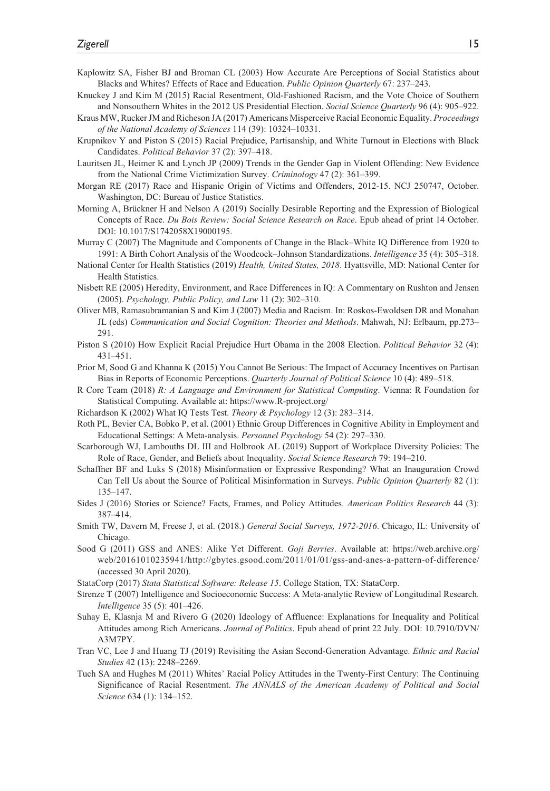- Kaplowitz SA, Fisher BJ and Broman CL (2003) How Accurate Are Perceptions of Social Statistics about Blacks and Whites? Effects of Race and Education. *Public Opinion Quarterly* 67: 237–243.
- Knuckey J and Kim M (2015) Racial Resentment, Old-Fashioned Racism, and the Vote Choice of Southern and Nonsouthern Whites in the 2012 US Presidential Election. *Social Science Quarterly* 96 (4): 905–922.
- Kraus MW, Rucker JM and Richeson JA (2017) Americans Misperceive Racial Economic Equality. *Proceedings of the National Academy of Sciences* 114 (39): 10324–10331.
- Krupnikov Y and Piston S (2015) Racial Prejudice, Partisanship, and White Turnout in Elections with Black Candidates. *Political Behavior* 37 (2): 397–418.
- Lauritsen JL, Heimer K and Lynch JP (2009) Trends in the Gender Gap in Violent Offending: New Evidence from the National Crime Victimization Survey. *Criminology* 47 (2): 361–399.
- Morgan RE (2017) Race and Hispanic Origin of Victims and Offenders, 2012-15. NCJ 250747, October. Washington, DC: Bureau of Justice Statistics.
- Morning A, Brückner H and Nelson A (2019) Socially Desirable Reporting and the Expression of Biological Concepts of Race. *Du Bois Review: Social Science Research on Race*. Epub ahead of print 14 October. DOI: 10.1017/S1742058X19000195.
- Murray C (2007) The Magnitude and Components of Change in the Black–White IQ Difference from 1920 to 1991: A Birth Cohort Analysis of the Woodcock–Johnson Standardizations. *Intelligence* 35 (4): 305–318.
- National Center for Health Statistics (2019) *Health, United States, 2018*. Hyattsville, MD: National Center for Health Statistics.
- Nisbett RE (2005) Heredity, Environment, and Race Differences in IQ: A Commentary on Rushton and Jensen (2005). *Psychology, Public Policy, and Law* 11 (2): 302–310.
- Oliver MB, Ramasubramanian S and Kim J (2007) Media and Racism. In: Roskos-Ewoldsen DR and Monahan JL (eds) *Communication and Social Cognition: Theories and Methods*. Mahwah, NJ: Erlbaum, pp.273– 291.
- Piston S (2010) How Explicit Racial Prejudice Hurt Obama in the 2008 Election. *Political Behavior* 32 (4): 431–451.
- Prior M, Sood G and Khanna K (2015) You Cannot Be Serious: The Impact of Accuracy Incentives on Partisan Bias in Reports of Economic Perceptions. *Quarterly Journal of Political Science* 10 (4): 489–518.
- R Core Team (2018) *R: A Language and Environment for Statistical Computing*. Vienna: R Foundation for Statistical Computing. Available at: https://www.R-project.org/
- Richardson K (2002) What IQ Tests Test. *Theory & Psychology* 12 (3): 283–314.
- Roth PL, Bevier CA, Bobko P, et al. (2001) Ethnic Group Differences in Cognitive Ability in Employment and Educational Settings: A Meta-analysis. *Personnel Psychology* 54 (2): 297–330.
- Scarborough WJ, Lambouths DL III and Holbrook AL (2019) Support of Workplace Diversity Policies: The Role of Race, Gender, and Beliefs about Inequality. *Social Science Research* 79: 194–210.
- Schaffner BF and Luks S (2018) Misinformation or Expressive Responding? What an Inauguration Crowd Can Tell Us about the Source of Political Misinformation in Surveys. *Public Opinion Quarterly* 82 (1): 135–147.
- Sides J (2016) Stories or Science? Facts, Frames, and Policy Attitudes. *American Politics Research* 44 (3): 387–414.
- Smith TW, Davern M, Freese J, et al. (2018.) *General Social Surveys, 1972-2016*. Chicago, IL: University of Chicago.
- Sood G (2011) GSS and ANES: Alike Yet Different. *Goji Berries*. Available at: https://web.archive.org/ web/20161010235941/http://gbytes.gsood.com/2011/01/01/gss-and-anes-a-pattern-of-difference/ (accessed 30 April 2020).
- StataCorp (2017) *Stata Statistical Software: Release 15*. College Station, TX: StataCorp.
- Strenze T (2007) Intelligence and Socioeconomic Success: A Meta-analytic Review of Longitudinal Research. *Intelligence* 35 (5): 401–426.
- Suhay E, Klasnja M and Rivero G (2020) Ideology of Affluence: Explanations for Inequality and Political Attitudes among Rich Americans. *Journal of Politics*. Epub ahead of print 22 July. DOI: 10.7910/DVN/ A3M7PY.
- Tran VC, Lee J and Huang TJ (2019) Revisiting the Asian Second-Generation Advantage. *Ethnic and Racial Studies* 42 (13): 2248–2269.
- Tuch SA and Hughes M (2011) Whites' Racial Policy Attitudes in the Twenty-First Century: The Continuing Significance of Racial Resentment. *The ANNALS of the American Academy of Political and Social Science* 634 (1): 134–152.